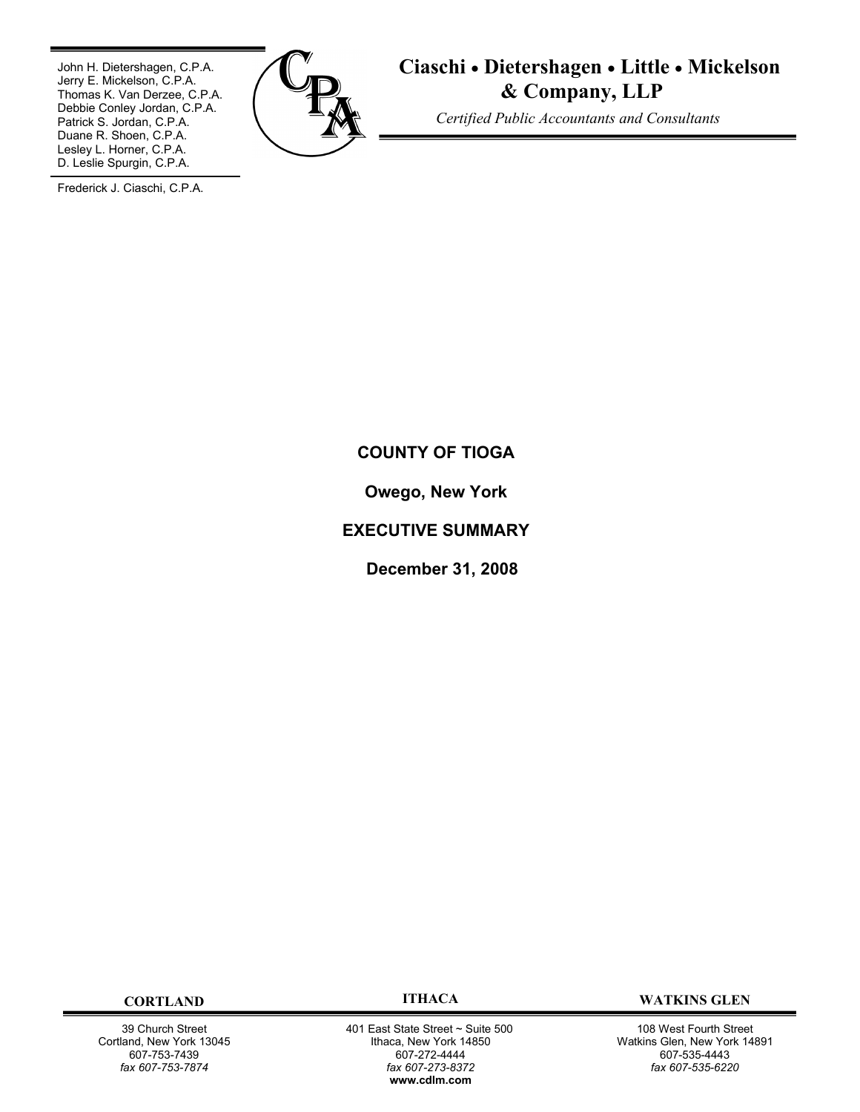John H. Dietershagen, C.P.A. Jerry E. Mickelson, C.P.A. Thomas K. Van Derzee, C.P.A. Debbie Conley Jordan, C.P.A. Patrick S. Jordan, C.P.A. Duane R. Shoen, C.P.A. Lesley L. Horner, C.P.A. D. Leslie Spurgin, C.P.A.



# **Ciaschi** · **Dietershagen** · **Little** · **Mickelson & Company, LLP**

*Certified Public Accountants and Consultants*

Frederick J. Ciaschi, C.P.A.

# **COUNTY OF TIOGA**

**Owego, New York**

# **EXECUTIVE SUMMARY**

**December 31, 2008**

39 Church Street Cortland, New York 13045 607-753-7439 *fax 607-753-7874*

401 East State Street ~ Suite 500 Ithaca, New York 14850 607-272-4444 *fax 607-273-8372* **w[ww.cdlm.com](www.cdlm.com)**

**CORTLAND ITHACA WATKINS GLEN**

108 West Fourth Street Watkins Glen, New York 14891 607-535-4443 *fax 607-535-6220*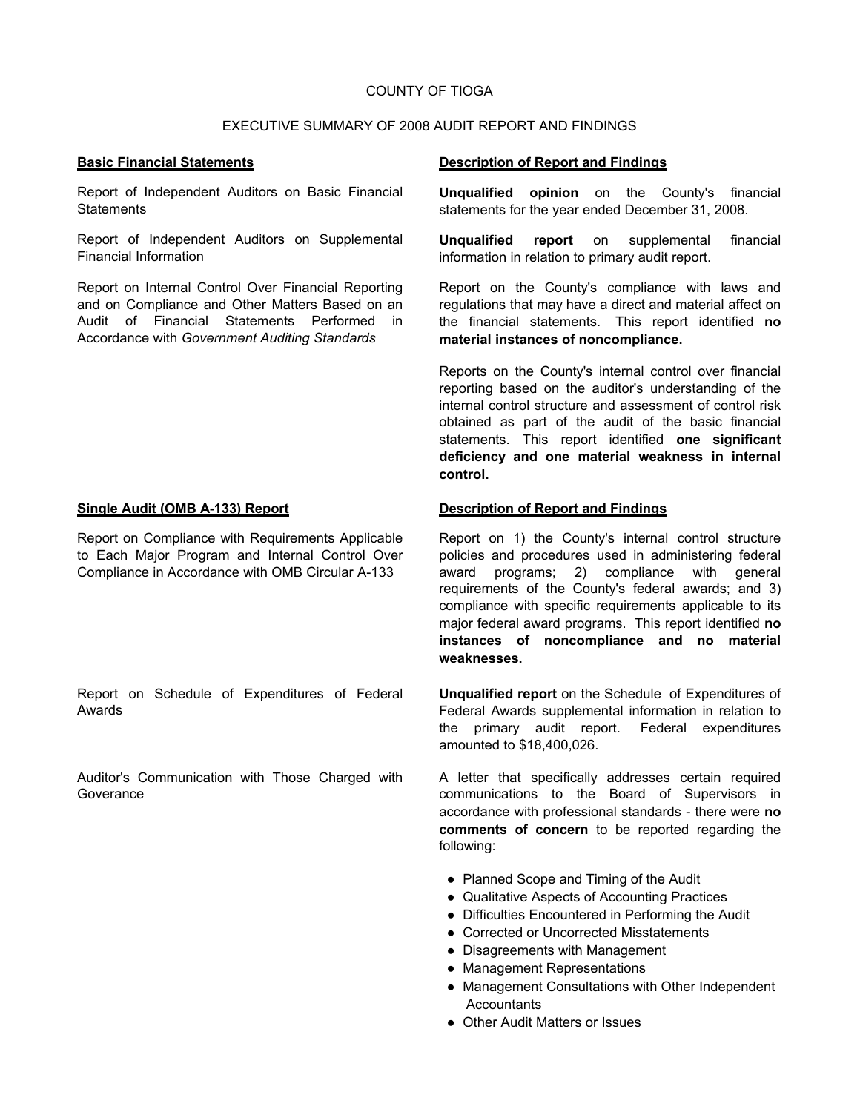### COUNTY OF TIOGA

#### EXECUTIVE SUMMARY OF 2008 AUDIT REPORT AND FINDINGS

Report of Independent Auditors on Basic Financial **Statements** 

Report of Independent Auditors on Supplemental Financial Information

Report on Internal Control Over Financial Reporting and on Compliance and Other Matters Based on an Audit of Financial Statements Performed in Accordance with *Government Auditing Standards*

Report on Compliance with Requirements Applicable to Each Major Program and Internal Control Over Compliance in Accordance with OMB Circular A-133

Report on Schedule of Expenditures of Federal Awards

Auditor's Communication with Those Charged with **Goverance** 

#### **Basic Financial Statements Description of Report and Findings**

**Unqualified opinion** on the County's financial statements for the year ended December 31, 2008.

**Unqualified report** on supplemental financial information in relation to primary audit report.

Report on the County's compliance with laws and regulations that may have a direct and material affect on the financial statements. This report identified **no material instances of noncompliance.**

Reports on the County's internal control over financial reporting based on the auditor's understanding of the internal control structure and assessment of control risk obtained as part of the audit of the basic financial statements. This report identified **one significant deficiency and one material weakness in internal control.**

#### **Single Audit (OMB A-133) Report Description of Report and Findings**

Report on 1) the County's internal control structure policies and procedures used in administering federal award programs; 2) compliance with general requirements of the County's federal awards; and 3) compliance with specific requirements applicable to its major federal award programs. This report identified **no instances of noncompliance and no material weaknesses.**

**Unqualified report** on the Schedule of Expenditures of Federal Awards supplemental information in relation to the primary audit report. Federal expenditures amounted to \$18,400,026.

A letter that specifically addresses certain required communications to the Board of Supervisors in accordance with professional standards - there were **no comments of concern** to be reported regarding the following:

- Planned Scope and Timing of the Audit
- Qualitative Aspects of Accounting Practices
- Difficulties Encountered in Performing the Audit
- Corrected or Uncorrected Misstatements
- Disagreements with Management
- Management Representations
- Management Consultations with Other Independent **Accountants**
- Other Audit Matters or Issues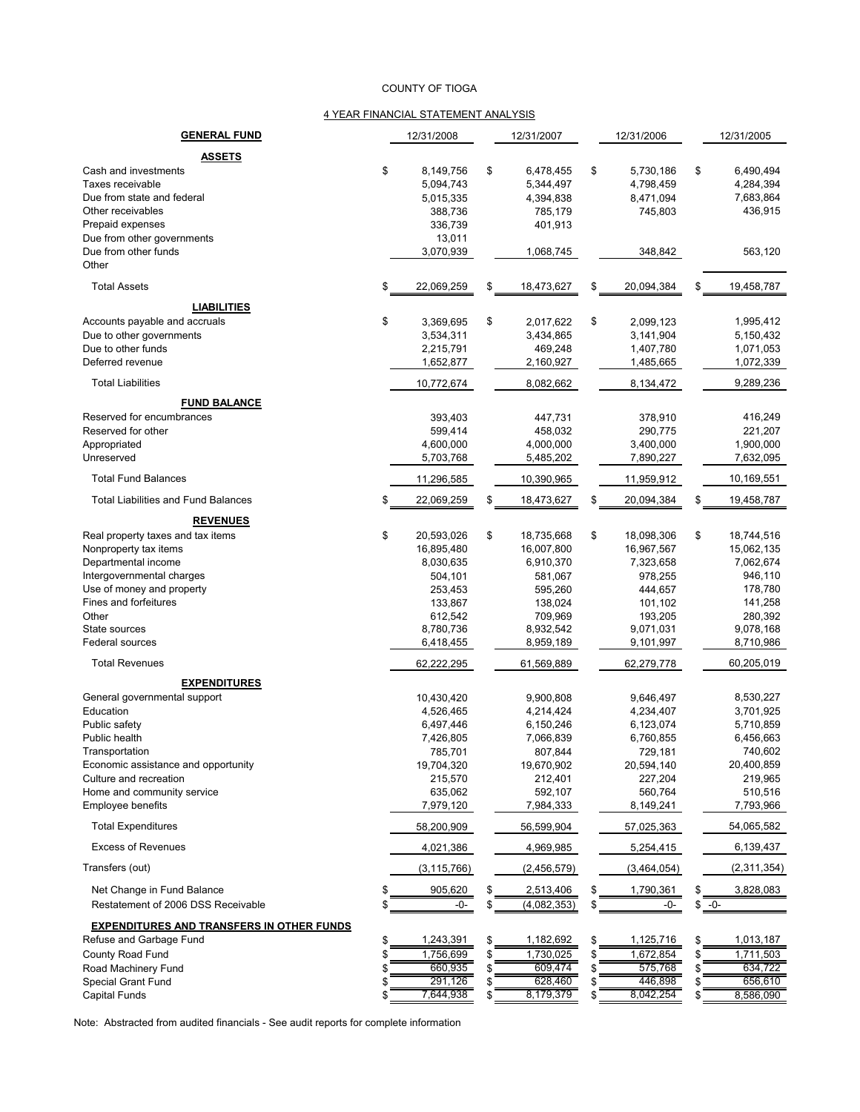#### COUNTY OF TIOGA

#### 4 YEAR FINANCIAL STATEMENT ANALYSIS

| <b>GENERAL FUND</b>                                              |          | 12/31/2008           |          | 12/31/2007               |          | 12/31/2006           |               | 12/31/2005           |
|------------------------------------------------------------------|----------|----------------------|----------|--------------------------|----------|----------------------|---------------|----------------------|
| ASSETS                                                           |          |                      |          |                          |          |                      |               |                      |
| Cash and investments                                             | \$       | 8.149.756            | \$       | 6,478,455                | \$       | 5.730.186            | \$            | 6,490,494            |
| Taxes receivable                                                 |          | 5,094,743            |          | 5,344,497                |          | 4,798,459            |               | 4,284,394            |
| Due from state and federal                                       |          | 5,015,335            |          | 4,394,838                |          | 8,471,094            |               | 7,683,864            |
| Other receivables                                                |          | 388,736              |          | 785,179                  |          | 745,803              |               | 436,915              |
| Prepaid expenses<br>Due from other governments                   |          | 336,739<br>13,011    |          | 401,913                  |          |                      |               |                      |
| Due from other funds                                             |          | 3,070,939            |          | 1,068,745                |          | 348,842              |               | 563,120              |
| Other                                                            |          |                      |          |                          |          |                      |               |                      |
| <b>Total Assets</b>                                              | \$       | 22,069,259           | \$       | 18,473,627               | \$       | 20,094,384           | \$            | 19,458,787           |
| <b>LIABILITIES</b>                                               |          |                      |          |                          |          |                      |               |                      |
| Accounts payable and accruals                                    | \$       | 3,369,695            | \$       | 2,017,622                | \$       | 2,099,123            |               | 1,995,412            |
| Due to other governments                                         |          | 3,534,311            |          | 3,434,865                |          | 3,141,904            |               | 5,150,432            |
| Due to other funds                                               |          | 2,215,791            |          | 469,248                  |          | 1,407,780            |               | 1,071,053            |
| Deferred revenue                                                 |          | 1,652,877            |          | 2,160,927                |          | 1,485,665            |               | 1,072,339            |
| <b>Total Liabilities</b>                                         |          | 10,772,674           |          | 8,082,662                |          | 8,134,472            |               | 9,289,236            |
| <b>FUND BALANCE</b>                                              |          |                      |          |                          |          |                      |               |                      |
| Reserved for encumbrances                                        |          | 393,403              |          | 447,731                  |          | 378,910              |               | 416,249              |
| Reserved for other                                               |          | 599,414              |          | 458,032                  |          | 290,775              |               | 221,207              |
| Appropriated                                                     |          | 4,600,000            |          | 4,000,000                |          | 3,400,000            |               | 1,900,000            |
| Unreserved                                                       |          | 5,703,768            |          | 5,485,202                |          | 7,890,227            |               | 7,632,095            |
| <b>Total Fund Balances</b>                                       |          | 11,296,585           |          | 10,390,965               |          | 11,959,912           |               | 10,169,551           |
| <b>Total Liabilities and Fund Balances</b>                       | \$       | 22,069,259           | \$       | 18,473,627               | \$       | 20,094,384           | \$            | 19,458,787           |
| <b>REVENUES</b>                                                  |          |                      |          |                          |          |                      |               |                      |
| Real property taxes and tax items                                | \$       | 20,593,026           | \$       | 18,735,668               | \$       | 18,098,306           | \$            | 18,744,516           |
| Nonproperty tax items                                            |          | 16,895,480           |          | 16,007,800               |          | 16,967,567           |               | 15,062,135           |
| Departmental income                                              |          | 8,030,635            |          | 6,910,370                |          | 7,323,658            |               | 7,062,674            |
| Intergovernmental charges                                        |          | 504,101              |          | 581,067                  |          | 978,255              |               | 946,110              |
| Use of money and property<br>Fines and forfeitures               |          | 253,453<br>133,867   |          | 595,260<br>138,024       |          | 444,657<br>101,102   |               | 178,780<br>141,258   |
| Other                                                            |          | 612,542              |          | 709,969                  |          | 193,205              |               | 280,392              |
| State sources                                                    |          | 8,780,736            |          | 8,932,542                |          | 9,071,031            |               | 9,078,168            |
| Federal sources                                                  |          | 6,418,455            |          | 8,959,189                |          | 9,101,997            |               | 8,710,986            |
| <b>Total Revenues</b>                                            |          | 62,222,295           |          | 61,569,889               |          | 62,279,778           |               | 60,205,019           |
| <b>EXPENDITURES</b>                                              |          |                      |          |                          |          |                      |               |                      |
| General governmental support                                     |          | 10,430,420           |          | 9,900,808                |          | 9,646,497            |               | 8,530,227            |
| Education                                                        |          | 4,526,465            |          | 4,214,424                |          | 4,234,407            |               | 3,701,925            |
| Public safety                                                    |          | 6,497,446            |          | 6,150,246                |          | 6,123,074            |               | 5,710,859            |
| Public health                                                    |          | 7,426,805            |          | 7,066,839                |          | 6,760,855            |               | 6,456,663            |
| Transportation                                                   |          | 785,701              |          | 807,844                  |          | 729,181              |               | 740,602              |
| Economic assistance and opportunity                              |          | 19,704,320           |          | 19,670,902               |          | 20,594,140           |               | 20,400,859           |
| Culture and recreation                                           |          | 215,570              |          | 212,401                  |          | 227,204              |               | 219,965              |
| Home and community service<br>Employee benefits                  |          | 635,062<br>7,979,120 |          | 592,107<br>7,984,333     |          | 560,764<br>8,149,241 |               | 510,516<br>7,793,966 |
| <b>Total Expenditures</b>                                        |          | 58,200,909           |          | 56,599,904               |          | 57,025,363           |               | 54,065,582           |
| <b>Excess of Revenues</b>                                        |          | 4,021,386            |          | 4,969,985                |          | 5,254,415            |               | 6,139,437            |
| Transfers (out)                                                  |          | (3, 115, 766)        |          | (2,456,579)              |          | (3,464,054)          |               | (2,311,354)          |
|                                                                  |          |                      |          |                          |          |                      |               |                      |
| Net Change in Fund Balance<br>Restatement of 2006 DSS Receivable | \$<br>\$ | 905,620<br>-0-       | \$<br>\$ | 2,513,406<br>(4,082,353) | \$<br>\$ | 1,790,361<br>-0-     | \$<br>$$ -0-$ | 3,828,083            |
| <b>EXPENDITURES AND TRANSFERS IN OTHER FUNDS</b>                 |          |                      |          |                          |          |                      |               |                      |
| Refuse and Garbage Fund                                          | \$       | 1,243,391            | \$       | 1,182,692                | \$       | 1,125,716            | \$            | 1,013,187            |
| County Road Fund                                                 | \$       | 1,756,699            | \$       | 1,730,025                | \$       | 1,672,854            | \$            | 1,711,503            |
| Road Machinery Fund                                              | \$       | 660,935              |          | 609,474                  | \$       | 575,768              | S             | 634,722              |
| Special Grant Fund                                               | \$       | 291,126              |          | 628,460                  | \$       | 446,898              |               | 656,610              |
| Capital Funds                                                    | \$       | 7,644,938            |          | 8,179,379                | \$       | 8,042,254            | \$            | 8,586,090            |

Note: Abstracted from audited financials - See audit reports for complete information